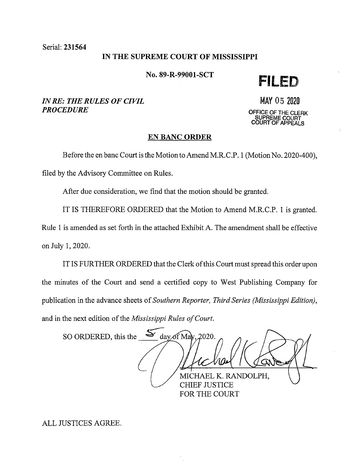Serial: 231564

## IN THE SUPREME COURT OF MISSISSIPPI

No. 89-R-99001-SCT **FILED** 

*IN RE: THE RULES OF CIVIL PROCEDURE* 

MAY 05 <sup>2020</sup>

**OFFICE OF THE CLERK SUPREME COURT COURT OF APPEALS** 

#### **EN BANC ORDER**

Before the en bane Court is the Motion to Amend M.R.C.P. 1 (Motion No. 2020-400),

filed by the Advisory Committee on Rules.

After due consideration, we find that the motion should be granted.

IT IS THEREFORE ORDERED that the Motion to Amend M.R.C.P. 1 is granted.

Rule 1 is amended as set forth in the attached Exhibit A. The amendment shall be effective on July 1, 2020.

IT IS FURTHER ORDERED that the Clerk of this Court must spread this order upon the minutes of the Court and send a certified copy to West Publishing Company for publication in the advance sheets of *Southern Reporter, Third Series (Mississippi Edition),*  and in the next edition of the *Mississippi Rules of Court.* 

SO ORDERED, this the  $\frac{S}{\sqrt{2}}$  day of May, 2020. MICHAEL K. RANDOLPH, CHIEF JUSTICE FOR THE COURT

ALL JUSTICES AGREE.